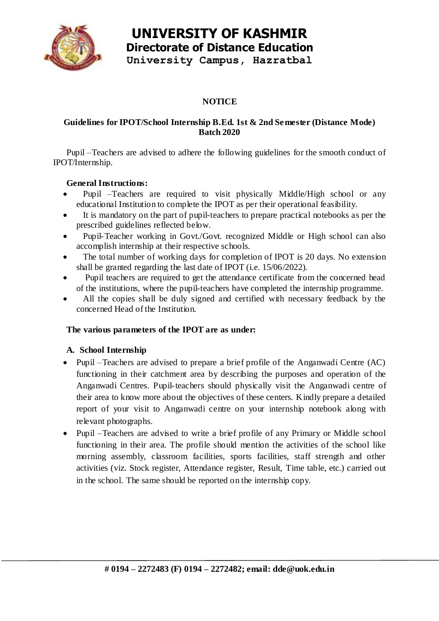

# **UNIVERSITY OF KASHMIR Directorate of Distance Education**

**University Campus, Hazratbal**

## **NOTICE**

### **Guidelines for IPOT/School Internship B.Ed. 1st & 2nd Semester (Distance Mode) Batch 2020**

Pupil –Teachers are advised to adhere the following guidelines for the smooth conduct of IPOT/Internship.

### **General Instructions:**

- Pupil –Teachers are required to visit physically Middle/High school or any educational Institution to complete the IPOT as per their operational feasibility.
- It is mandatory on the part of pupil-teachers to prepare practical notebooks as per the prescribed guidelines reflected below.
- Pupil-Teacher working in Govt./Govt. recognized Middle or High school can also accomplish internship at their respective schools.
- The total number of working days for completion of IPOT is 20 days. No extension shall be granted regarding the last date of IPOT (i.e. 15/06/2022).
- Pupil teachers are required to get the attendance certificate from the concerned head of the institutions, where the pupil-teachers have completed the internship programme.
- All the copies shall be duly signed and certified with necessary feedback by the concerned Head of the Institution.

### **The various parameters of the IPOT are as under:**

### **A. School Internship**

- Pupil –Teachers are advised to prepare a brief profile of the Anganwadi Centre (AC) functioning in their catchment area by describing the purposes and operation of the Anganwadi Centres. Pupil-teachers should physically visit the Anganwadi centre of their area to know more about the objectives of these centers. Kindly prepare a detailed report of your visit to Anganwadi centre on your internship notebook along with relevant photographs.
- Pupil –Teachers are advised to write a brief profile of any Primary or Middle school functioning in their area. The profile should mention the activities of the school like morning assembly, classroom facilities, sports facilities, staff strength and other activities (viz. Stock register, Attendance register, Result, Time table, etc.) carried out in the school. The same should be reported on the internship copy.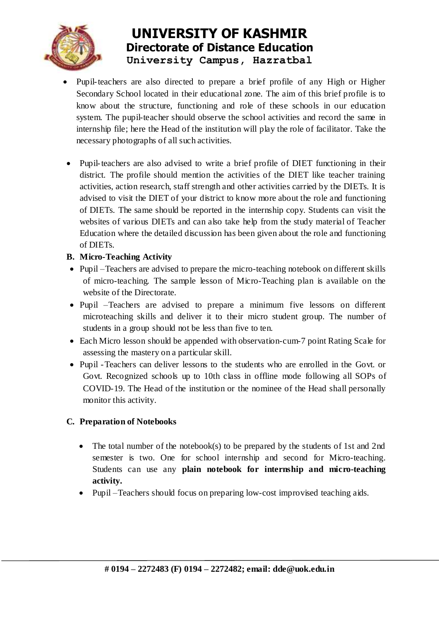

# **UNIVERSITY OF KASHMIR Directorate of Distance Education University Campus, Hazratbal**

- Pupil-teachers are also directed to prepare a brief profile of any High or Higher Secondary School located in their educational zone. The aim of this brief profile is to know about the structure, functioning and role of these schools in our education system. The pupil-teacher should observe the school activities and record the same in internship file; here the Head of the institution will play the role of facilitator. Take the necessary photographs of all such activities.
- Pupil-teachers are also advised to write a brief profile of DIET functioning in their district. The profile should mention the activities of the DIET like teacher training activities, action research, staff strength and other activities carried by the DIETs. It is advised to visit the DIET of your district to know more about the role and functioning of DIETs. The same should be reported in the internship copy. Students can visit the websites of various DIETs and can also take help from the study material of Teacher Education where the detailed discussion has been given about the role and functioning of DIETs.

### **B. Micro-Teaching Activity**

- Pupil Teachers are advised to prepare the micro-teaching notebook on different skills of micro-teaching. The sample lesson of Micro-Teaching plan is available on the website of the Directorate.
- Pupil –Teachers are advised to prepare a minimum five lessons on different microteaching skills and deliver it to their micro student group. The number of students in a group should not be less than five to ten.
- Each Micro lesson should be appended with observation-cum-7 point Rating Scale for assessing the mastery on a particular skill.
- Pupil -Teachers can deliver lessons to the students who are enrolled in the Govt. or Govt. Recognized schools up to 10th class in offline mode following all SOPs of COVID-19. The Head of the institution or the nominee of the Head shall personally monitor this activity.

### **C. Preparation of Notebooks**

- The total number of the notebook(s) to be prepared by the students of 1st and 2nd semester is two. One for school internship and second for Micro-teaching. Students can use any **plain notebook for internship and micro-teaching activity.**
- Pupil –Teachers should focus on preparing low-cost improvised teaching aids.